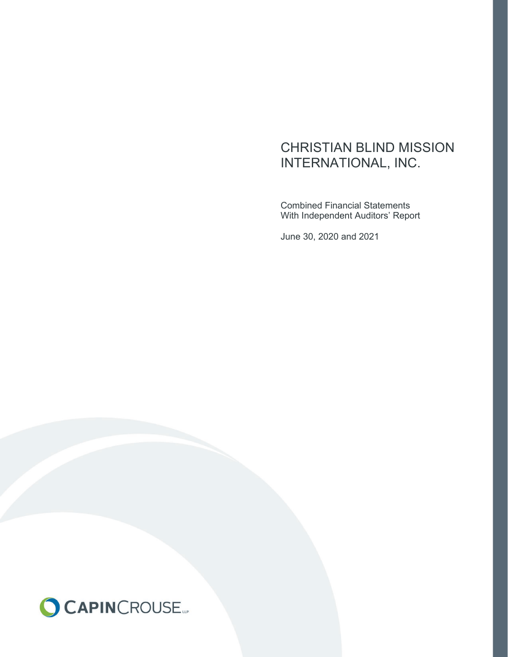Combined Financial Statements With Independent Auditors' Report

June 30, 2020 and 2021

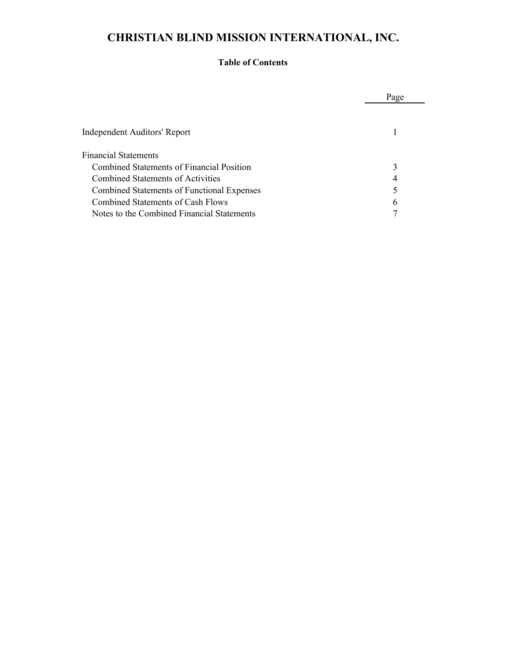#### **Table of Contents**

|                                            | Page |
|--------------------------------------------|------|
|                                            |      |
| Independent Auditors' Report               |      |
| <b>Financial Statements</b>                |      |
| Combined Statements of Financial Position  | 3    |
| Combined Statements of Activities          | 4    |
| Combined Statements of Functional Expenses |      |
| Combined Statements of Cash Flows          | 6    |
| Notes to the Combined Financial Statements |      |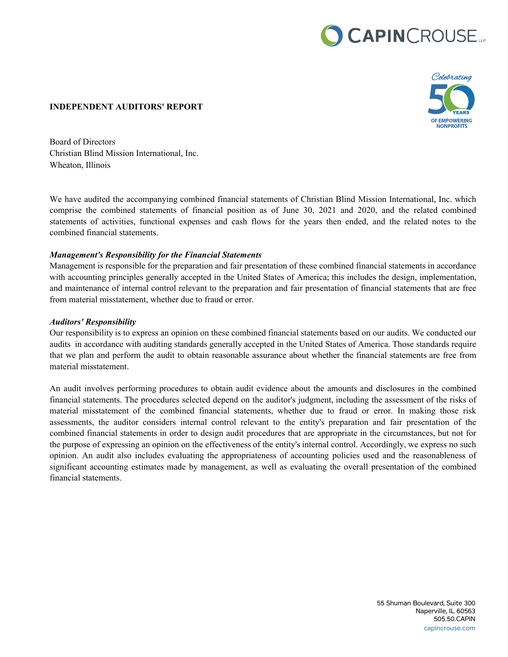# CAPINCROUSE.



#### **INDEPENDENT AUDITORS' REPORT**

Board of Directors Christian Blind Mission International, Inc. Wheaton, Illinois

We have audited the accompanying combined financial statements of Christian Blind Mission International, Inc. which comprise the combined statements of financial position as of June 30, 2021 and 2020, and the related combined statements of activities, functional expenses and cash flows for the years then ended, and the related notes to the combined financial statements.

#### *Management's Responsibility for the Financial Statements*

Management is responsible for the preparation and fair presentation of these combined financial statements in accordance with accounting principles generally accepted in the United States of America; this includes the design, implementation, and maintenance of internal control relevant to the preparation and fair presentation of financial statements that are free from material misstatement, whether due to fraud or error.

#### *Auditors' Responsibility*

Our responsibility is to express an opinion on these combined financial statements based on our audits. We conducted our audits in accordance with auditing standards generally accepted in the United States of America. Those standards require that we plan and perform the audit to obtain reasonable assurance about whether the financial statements are free from material misstatement.

An audit involves performing procedures to obtain audit evidence about the amounts and disclosures in the combined financial statements. The procedures selected depend on the auditor's judgment, including the assessment of the risks of material misstatement of the combined financial statements, whether due to fraud or error. In making those risk assessments, the auditor considers internal control relevant to the entity's preparation and fair presentation of the combined financial statements in order to design audit procedures that are appropriate in the circumstances, but not for the purpose of expressing an opinion on the effectiveness of the entity's internal control. Accordingly, we express no such opinion. An audit also includes evaluating the appropriateness of accounting policies used and the reasonableness of significant accounting estimates made by management, as well as evaluating the overall presentation of the combined financial statements.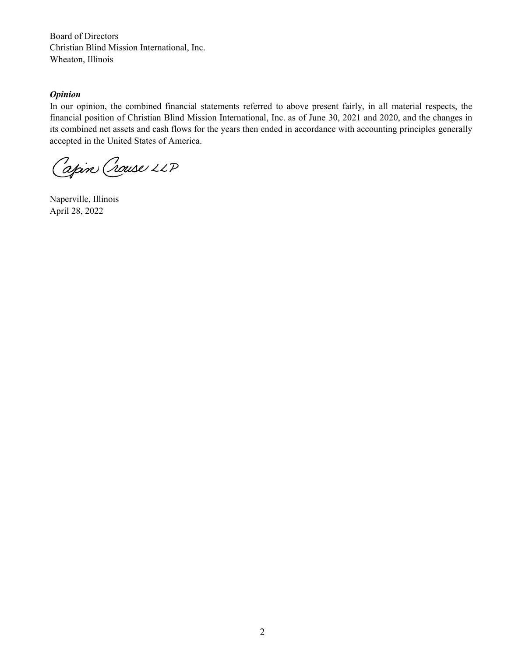Board of Directors Christian Blind Mission International, Inc. Wheaton, Illinois

#### *Opinion*

In our opinion, the combined financial statements referred to above present fairly, in all material respects, the financial position of Christian Blind Mission International, Inc. as of June 30, 2021 and 2020, and the changes in its combined net assets and cash flows for the years then ended in accordance with accounting principles generally accepted in the United States of America.

Capin Crouse LLP

Naperville, Illinois April 28, 2022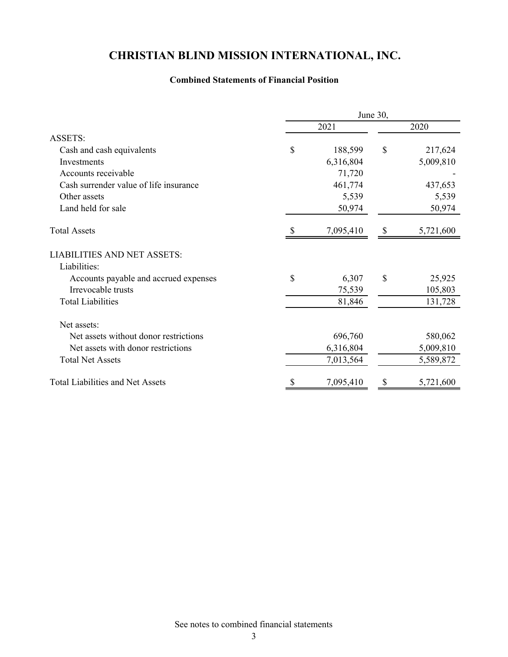#### **Combined Statements of Financial Position**

|                                         | June 30, |           |              |           |  |
|-----------------------------------------|----------|-----------|--------------|-----------|--|
|                                         |          | 2021      | 2020         |           |  |
| <b>ASSETS:</b>                          |          |           |              |           |  |
| Cash and cash equivalents               | \$       | 188,599   | \$           | 217,624   |  |
| Investments                             |          | 6,316,804 |              | 5,009,810 |  |
| Accounts receivable                     |          | 71,720    |              |           |  |
| Cash surrender value of life insurance  |          | 461,774   |              | 437,653   |  |
| Other assets                            |          | 5,539     |              | 5,539     |  |
| Land held for sale                      |          | 50,974    |              | 50,974    |  |
| <b>Total Assets</b>                     |          | 7,095,410 | <sup>8</sup> | 5,721,600 |  |
| <b>LIABILITIES AND NET ASSETS:</b>      |          |           |              |           |  |
| Liabilities:                            |          |           |              |           |  |
| Accounts payable and accrued expenses   | \$       | 6,307     | $\mathbb{S}$ | 25,925    |  |
| Irrevocable trusts                      |          | 75,539    |              | 105,803   |  |
| <b>Total Liabilities</b>                |          | 81,846    |              | 131,728   |  |
| Net assets:                             |          |           |              |           |  |
| Net assets without donor restrictions   |          | 696,760   |              | 580,062   |  |
| Net assets with donor restrictions      |          | 6,316,804 |              | 5,009,810 |  |
| <b>Total Net Assets</b>                 |          | 7,013,564 |              | 5,589,872 |  |
| <b>Total Liabilities and Net Assets</b> | \$       | 7,095,410 | S            | 5,721,600 |  |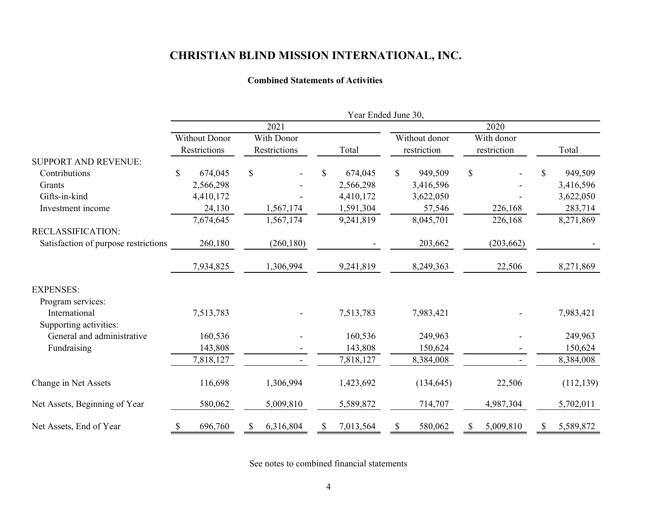#### **Combined Statements of Activities**

|                                      | Year Ended June 30, |                      |               |              |    |           |    |               |    |             |    |            |
|--------------------------------------|---------------------|----------------------|---------------|--------------|----|-----------|----|---------------|----|-------------|----|------------|
|                                      | 2021                |                      |               |              |    | 2020      |    |               |    |             |    |            |
|                                      |                     | <b>Without Donor</b> |               | With Donor   |    |           |    | Without donor |    | With donor  |    |            |
|                                      |                     | Restrictions         |               | Restrictions |    | Total     |    | restriction   |    | restriction |    | Total      |
| <b>SUPPORT AND REVENUE:</b>          |                     |                      |               |              |    |           |    |               |    |             |    |            |
| Contributions                        | \$                  | 674,045              | $\mathcal{S}$ |              | \$ | 674,045   | \$ | 949,509       | \$ |             | \$ | 949,509    |
| Grants                               |                     | 2,566,298            |               |              |    | 2,566,298 |    | 3,416,596     |    |             |    | 3,416,596  |
| Gifts-in-kind                        |                     | 4,410,172            |               |              |    | 4,410,172 |    | 3,622,050     |    |             |    | 3,622,050  |
| Investment income                    |                     | 24,130               |               | 1,567,174    |    | 1,591,304 |    | 57,546        |    | 226,168     |    | 283,714    |
|                                      |                     | 7,674,645            |               | 1,567,174    |    | 9,241,819 |    | 8,045,701     |    | 226,168     |    | 8,271,869  |
| RECLASSIFICATION:                    |                     |                      |               |              |    |           |    |               |    |             |    |            |
| Satisfaction of purpose restrictions |                     | 260,180              |               | (260, 180)   |    |           |    | 203,662       |    | (203, 662)  |    |            |
|                                      |                     | 7,934,825            |               | 1,306,994    |    | 9,241,819 |    | 8,249,363     |    | 22,506      |    | 8,271,869  |
| <b>EXPENSES:</b>                     |                     |                      |               |              |    |           |    |               |    |             |    |            |
| Program services:                    |                     |                      |               |              |    |           |    |               |    |             |    |            |
| International                        |                     | 7,513,783            |               |              |    | 7,513,783 |    | 7,983,421     |    |             |    | 7,983,421  |
| Supporting activities:               |                     |                      |               |              |    |           |    |               |    |             |    |            |
| General and administrative           |                     | 160,536              |               |              |    | 160,536   |    | 249,963       |    |             |    | 249,963    |
| Fundraising                          |                     | 143,808              |               |              |    | 143,808   |    | 150,624       |    |             |    | 150,624    |
|                                      |                     | 7,818,127            |               |              |    | 7,818,127 |    | 8,384,008     |    |             |    | 8,384,008  |
| Change in Net Assets                 |                     | 116,698              |               | 1,306,994    |    | 1,423,692 |    | (134, 645)    |    | 22,506      |    | (112, 139) |
| Net Assets, Beginning of Year        |                     | 580,062              |               | 5,009,810    |    | 5,589,872 |    | 714,707       |    | 4,987,304   |    | 5,702,011  |
| Net Assets, End of Year              | \$                  | 696,760              | S             | 6,316,804    | S  | 7,013,564 | \$ | 580,062       |    | 5,009,810   | S  | 5,589,872  |

See notes to combined financial statements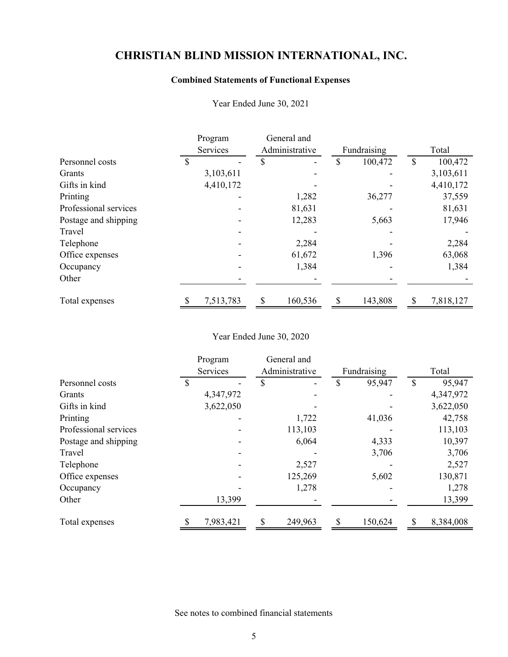### **Combined Statements of Functional Expenses**

|                       | Program<br>Services | General and<br>Administrative |         |    | Fundraising |    | Total     |
|-----------------------|---------------------|-------------------------------|---------|----|-------------|----|-----------|
| Personnel costs       |                     | \$                            |         | S  | 100,472     |    | 100,472   |
| Grants                | 3,103,611           |                               |         |    |             |    | 3,103,611 |
| Gifts in kind         | 4,410,172           |                               |         |    |             |    | 4,410,172 |
| Printing              |                     |                               | 1,282   |    | 36,277      |    | 37,559    |
| Professional services |                     |                               | 81,631  |    |             |    | 81,631    |
| Postage and shipping  |                     |                               | 12,283  |    | 5,663       |    | 17,946    |
| Travel                |                     |                               |         |    |             |    |           |
| Telephone             |                     |                               | 2,284   |    |             |    | 2,284     |
| Office expenses       |                     |                               | 61,672  |    | 1,396       |    | 63,068    |
| Occupancy             |                     |                               | 1,384   |    |             |    | 1,384     |
| Other                 |                     |                               |         |    |             |    |           |
| Total expenses        | 7,513,783           | \$                            | 160,536 | \$ | 143,808     | \$ | 7,818,127 |

Year Ended June 30, 2021

#### Year Ended June 30, 2020

|                       | Program   |                | General and |               |                 |
|-----------------------|-----------|----------------|-------------|---------------|-----------------|
|                       | Services  | Administrative |             | Fundraising   | Total           |
| Personnel costs       |           | S              |             | 95,947        | \$<br>95,947    |
| Grants                | 4,347,972 |                |             |               | 4,347,972       |
| Gifts in kind         | 3,622,050 |                |             |               | 3,622,050       |
| Printing              |           |                | 1,722       | 41,036        | 42,758          |
| Professional services |           |                | 113,103     |               | 113,103         |
| Postage and shipping  |           |                | 6,064       | 4,333         | 10,397          |
| Travel                |           |                |             | 3,706         | 3,706           |
| Telephone             |           |                | 2,527       |               | 2,527           |
| Office expenses       |           |                | 125,269     | 5,602         | 130,871         |
| Occupancy             |           |                | 1,278       |               | 1,278           |
| Other                 | 13,399    |                |             |               | 13,399          |
| Total expenses        | 7,983,421 | S              | 249,963     | \$<br>150,624 | \$<br>8,384,008 |

See notes to combined financial statements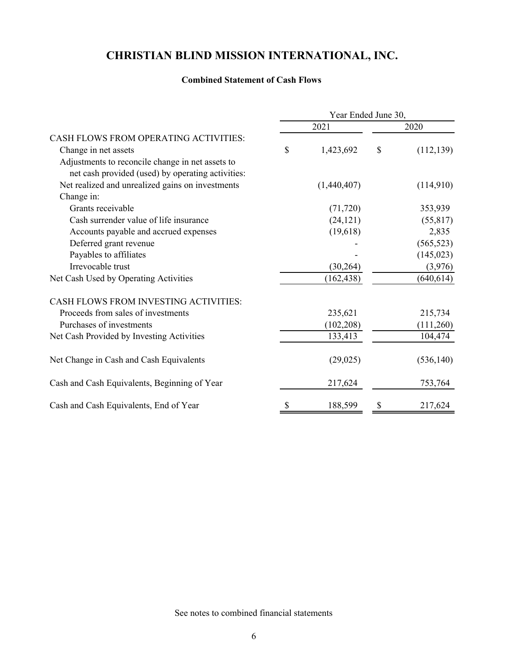#### **Combined Statement of Cash Flows**

|                                                   | Year Ended June 30, |      |            |  |  |  |
|---------------------------------------------------|---------------------|------|------------|--|--|--|
|                                                   | 2021                | 2020 |            |  |  |  |
| CASH FLOWS FROM OPERATING ACTIVITIES:             |                     |      |            |  |  |  |
| Change in net assets                              | \$<br>1,423,692     | \$   | (112, 139) |  |  |  |
| Adjustments to reconcile change in net assets to  |                     |      |            |  |  |  |
| net cash provided (used) by operating activities: |                     |      |            |  |  |  |
| Net realized and unrealized gains on investments  | (1,440,407)         |      | (114,910)  |  |  |  |
| Change in:                                        |                     |      |            |  |  |  |
| Grants receivable                                 | (71, 720)           |      | 353,939    |  |  |  |
| Cash surrender value of life insurance            | (24, 121)           |      | (55, 817)  |  |  |  |
| Accounts payable and accrued expenses             | (19,618)            |      | 2,835      |  |  |  |
| Deferred grant revenue                            |                     |      | (565, 523) |  |  |  |
| Payables to affiliates                            |                     |      | (145, 023) |  |  |  |
| Irrevocable trust                                 | (30,264)            |      | (3,976)    |  |  |  |
| Net Cash Used by Operating Activities             | (162, 438)          |      | (640, 614) |  |  |  |
| CASH FLOWS FROM INVESTING ACTIVITIES:             |                     |      |            |  |  |  |
| Proceeds from sales of investments                | 235,621             |      | 215,734    |  |  |  |
| Purchases of investments                          | (102, 208)          |      | (111,260)  |  |  |  |
| Net Cash Provided by Investing Activities         | 133,413             |      | 104,474    |  |  |  |
| Net Change in Cash and Cash Equivalents           | (29, 025)           |      | (536, 140) |  |  |  |
| Cash and Cash Equivalents, Beginning of Year      | 217,624             |      | 753,764    |  |  |  |
| Cash and Cash Equivalents, End of Year            | \$<br>188,599       | \$   | 217,624    |  |  |  |

See notes to combined financial statements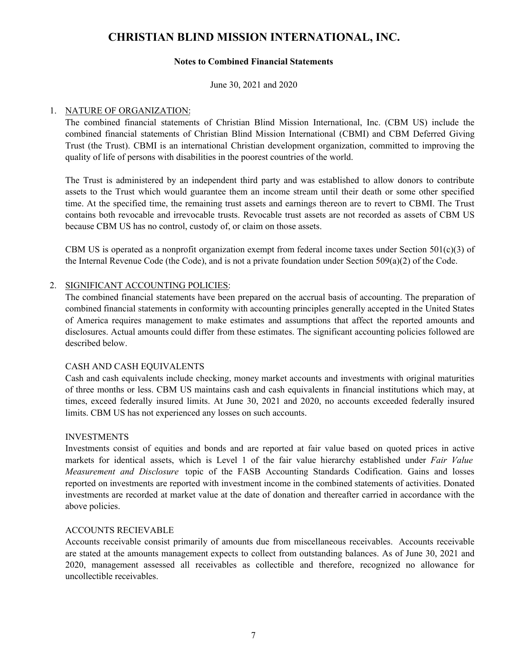#### **Notes to Combined Financial Statements**

June 30, 2021 and 2020

#### 1. NATURE OF ORGANIZATION:

The combined financial statements of Christian Blind Mission International, Inc. (CBM US) include the combined financial statements of Christian Blind Mission International (CBMI) and CBM Deferred Giving Trust (the Trust). CBMI is an international Christian development organization, committed to improving the quality of life of persons with disabilities in the poorest countries of the world.

The Trust is administered by an independent third party and was established to allow donors to contribute assets to the Trust which would guarantee them an income stream until their death or some other specified time. At the specified time, the remaining trust assets and earnings thereon are to revert to CBMI. The Trust contains both revocable and irrevocable trusts. Revocable trust assets are not recorded as assets of CBM US because CBM US has no control, custody of, or claim on those assets.

CBM US is operated as a nonprofit organization exempt from federal income taxes under Section 501(c)(3) of the Internal Revenue Code (the Code), and is not a private foundation under Section 509(a)(2) of the Code.

#### 2. SIGNIFICANT ACCOUNTING POLICIES:

The combined financial statements have been prepared on the accrual basis of accounting. The preparation of combined financial statements in conformity with accounting principles generally accepted in the United States of America requires management to make estimates and assumptions that affect the reported amounts and disclosures. Actual amounts could differ from these estimates. The significant accounting policies followed are described below.

#### CASH AND CASH EQUIVALENTS

Cash and cash equivalents include checking, money market accounts and investments with original maturities of three months or less. CBM US maintains cash and cash equivalents in financial institutions which may, at times, exceed federally insured limits. At June 30, 2021 and 2020, no accounts exceeded federally insured limits. CBM US has not experienced any losses on such accounts.

#### INVESTMENTS

Investments consist of equities and bonds and are reported at fair value based on quoted prices in active markets for identical assets, which is Level 1 of the fair value hierarchy established under *Fair Value Measurement and Disclosure* topic of the FASB Accounting Standards Codification. Gains and losses reported on investments are reported with investment income in the combined statements of activities. Donated investments are recorded at market value at the date of donation and thereafter carried in accordance with the above policies.

#### ACCOUNTS RECIEVABLE

Accounts receivable consist primarily of amounts due from miscellaneous receivables. Accounts receivable are stated at the amounts management expects to collect from outstanding balances. As of June 30, 2021 and 2020, management assessed all receivables as collectible and therefore, recognized no allowance for uncollectible receivables.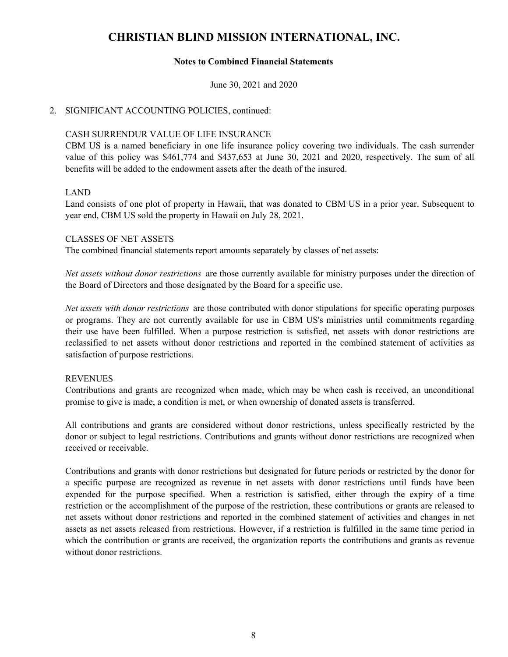#### **Notes to Combined Financial Statements**

June 30, 2021 and 2020

#### 2. SIGNIFICANT ACCOUNTING POLICIES, continued:

#### CASH SURRENDUR VALUE OF LIFE INSURANCE

CBM US is a named beneficiary in one life insurance policy covering two individuals. The cash surrender value of this policy was \$461,774 and \$437,653 at June 30, 2021 and 2020, respectively. The sum of all benefits will be added to the endowment assets after the death of the insured.

#### LAND

Land consists of one plot of property in Hawaii, that was donated to CBM US in a prior year. Subsequent to year end, CBM US sold the property in Hawaii on July 28, 2021.

#### CLASSES OF NET ASSETS

The combined financial statements report amounts separately by classes of net assets:

*Net assets without donor restrictions* are those currently available for ministry purposes under the direction of the Board of Directors and those designated by the Board for a specific use.

*Net assets with donor restrictions* are those contributed with donor stipulations for specific operating purposes or programs. They are not currently available for use in CBM US's ministries until commitments regarding their use have been fulfilled. When a purpose restriction is satisfied, net assets with donor restrictions are reclassified to net assets without donor restrictions and reported in the combined statement of activities as satisfaction of purpose restrictions.

#### REVENUES

Contributions and grants are recognized when made, which may be when cash is received, an unconditional promise to give is made, a condition is met, or when ownership of donated assets is transferred.

All contributions and grants are considered without donor restrictions, unless specifically restricted by the donor or subject to legal restrictions. Contributions and grants without donor restrictions are recognized when received or receivable.

Contributions and grants with donor restrictions but designated for future periods or restricted by the donor for a specific purpose are recognized as revenue in net assets with donor restrictions until funds have been expended for the purpose specified. When a restriction is satisfied, either through the expiry of a time restriction or the accomplishment of the purpose of the restriction, these contributions or grants are released to net assets without donor restrictions and reported in the combined statement of activities and changes in net assets as net assets released from restrictions. However, if a restriction is fulfilled in the same time period in which the contribution or grants are received, the organization reports the contributions and grants as revenue without donor restrictions.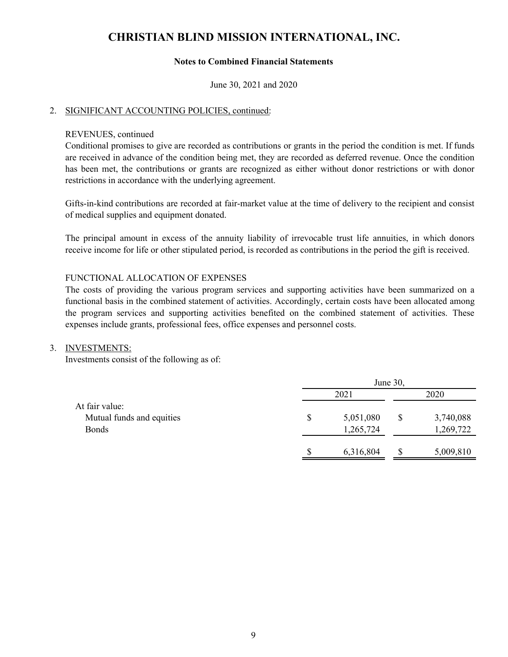#### **Notes to Combined Financial Statements**

June 30, 2021 and 2020

#### 2. SIGNIFICANT ACCOUNTING POLICIES, continued:

#### REVENUES, continued

Conditional promises to give are recorded as contributions or grants in the period the condition is met. If funds are received in advance of the condition being met, they are recorded as deferred revenue. Once the condition has been met, the contributions or grants are recognized as either without donor restrictions or with donor restrictions in accordance with the underlying agreement.

Gifts-in-kind contributions are recorded at fair-market value at the time of delivery to the recipient and consist of medical supplies and equipment donated.

The principal amount in excess of the annuity liability of irrevocable trust life annuities, in which donors receive income for life or other stipulated period, is recorded as contributions in the period the gift is received.

#### FUNCTIONAL ALLOCATION OF EXPENSES

The costs of providing the various program services and supporting activities have been summarized on a functional basis in the combined statement of activities. Accordingly, certain costs have been allocated among the program services and supporting activities benefited on the combined statement of activities. These expenses include grants, professional fees, office expenses and personnel costs.

#### 3. INVESTMENTS:

Investments consist of the following as of:

|                           | June 30, |           |   |           |  |  |
|---------------------------|----------|-----------|---|-----------|--|--|
|                           | 2021     |           |   | 2020      |  |  |
| At fair value:            |          |           |   |           |  |  |
| Mutual funds and equities | \$       | 5,051,080 |   | 3,740,088 |  |  |
| <b>Bonds</b>              |          | 1,265,724 |   | 1,269,722 |  |  |
|                           |          |           |   |           |  |  |
|                           |          | 6,316,804 | S | 5,009,810 |  |  |
|                           |          |           |   |           |  |  |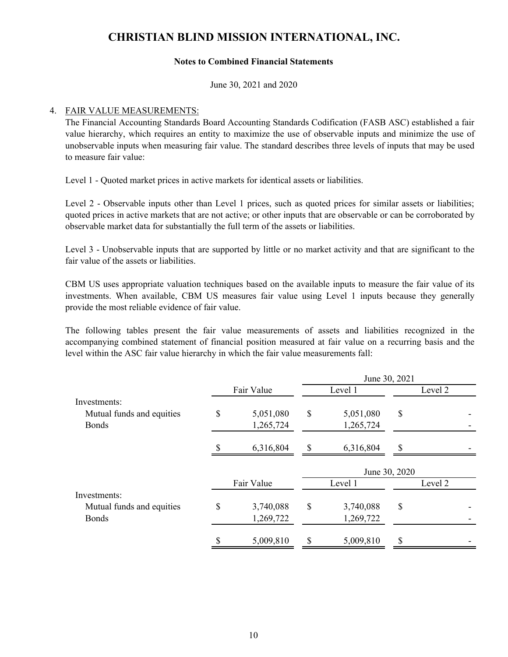#### **Notes to Combined Financial Statements**

June 30, 2021 and 2020

#### 4. FAIR VALUE MEASUREMENTS:

The Financial Accounting Standards Board Accounting Standards Codification (FASB ASC) established a fair value hierarchy, which requires an entity to maximize the use of observable inputs and minimize the use of unobservable inputs when measuring fair value. The standard describes three levels of inputs that may be used to measure fair value:

Level 1 - Quoted market prices in active markets for identical assets or liabilities.

Level 2 - Observable inputs other than Level 1 prices, such as quoted prices for similar assets or liabilities; quoted prices in active markets that are not active; or other inputs that are observable or can be corroborated by observable market data for substantially the full term of the assets or liabilities.

Level 3 - Unobservable inputs that are supported by little or no market activity and that are significant to the fair value of the assets or liabilities.

CBM US uses appropriate valuation techniques based on the available inputs to measure the fair value of its investments. When available, CBM US measures fair value using Level 1 inputs because they generally provide the most reliable evidence of fair value.

The following tables present the fair value measurements of assets and liabilities recognized in the accompanying combined statement of financial position measured at fair value on a recurring basis and the level within the ASC fair value hierarchy in which the fair value measurements fall:

|                           |            |            |                 | June 30, 2021 |         |
|---------------------------|------------|------------|-----------------|---------------|---------|
|                           | Fair Value |            | Level 1         |               | Level 2 |
| Investments:              |            |            |                 |               |         |
| Mutual funds and equities | \$         | 5,051,080  | \$<br>5,051,080 | \$            |         |
| <b>Bonds</b>              |            | 1,265,724  | 1,265,724       |               |         |
|                           |            | 6,316,804  | \$<br>6,316,804 | \$            |         |
|                           |            |            |                 | June 30, 2020 |         |
|                           |            | Fair Value | Level 1         |               | Level 2 |
| Investments:              |            |            |                 |               |         |
| Mutual funds and equities | \$         | 3,740,088  | \$<br>3,740,088 | \$            |         |
| <b>Bonds</b>              |            | 1,269,722  | 1,269,722       |               |         |
|                           |            |            |                 |               |         |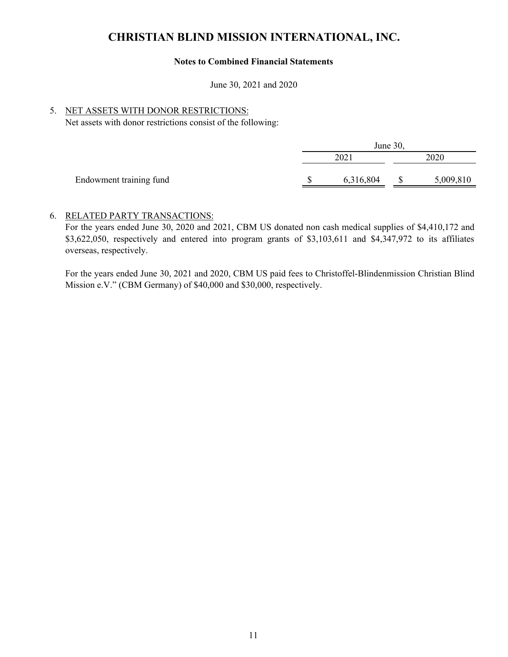#### **Notes to Combined Financial Statements**

June 30, 2021 and 2020

#### 5. NET ASSETS WITH DONOR RESTRICTIONS:

Net assets with donor restrictions consist of the following:

| June 30,  |      |           |  |  |  |
|-----------|------|-----------|--|--|--|
| 202       | 2020 |           |  |  |  |
| 6,316,804 |      | 5,009,810 |  |  |  |
|           |      |           |  |  |  |

#### 6. RELATED PARTY TRANSACTIONS:

For the years ended June 30, 2020 and 2021, CBM US donated non cash medical supplies of \$4,410,172 and \$3,622,050, respectively and entered into program grants of \$3,103,611 and \$4,347,972 to its affiliates overseas, respectively.

For the years ended June 30, 2021 and 2020, CBM US paid fees to Christoffel-Blindenmission Christian Blind Mission e.V." (CBM Germany) of \$40,000 and \$30,000, respectively.